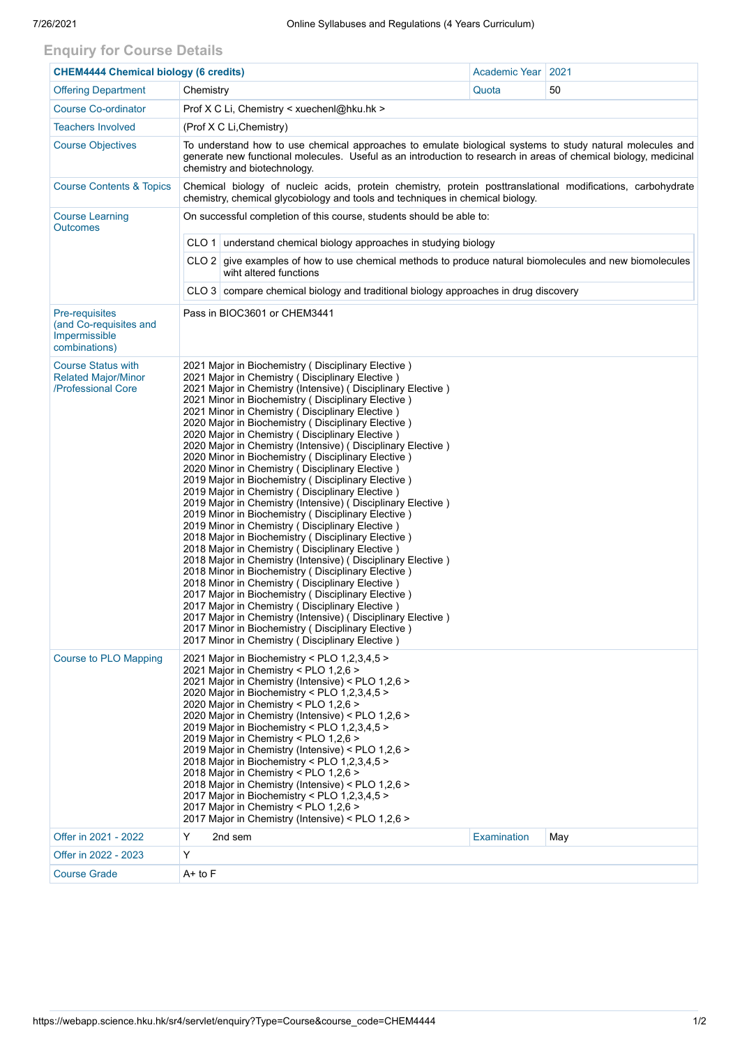## **Enquiry for Course Details**

| <b>CHEM4444 Chemical biology (6 credits)</b>                                      |                                                                                                                                                                                                                                                                                                                                                                                                                                                                                                                                                                                                                                                                                                                                                                                                                                                                                                                                                                                                                                                                                                                                                                                                                                                                                                                                                                                                                   |                                                                                     | Academic Year   2021 |     |  |  |  |  |  |  |
|-----------------------------------------------------------------------------------|-------------------------------------------------------------------------------------------------------------------------------------------------------------------------------------------------------------------------------------------------------------------------------------------------------------------------------------------------------------------------------------------------------------------------------------------------------------------------------------------------------------------------------------------------------------------------------------------------------------------------------------------------------------------------------------------------------------------------------------------------------------------------------------------------------------------------------------------------------------------------------------------------------------------------------------------------------------------------------------------------------------------------------------------------------------------------------------------------------------------------------------------------------------------------------------------------------------------------------------------------------------------------------------------------------------------------------------------------------------------------------------------------------------------|-------------------------------------------------------------------------------------|----------------------|-----|--|--|--|--|--|--|
| <b>Offering Department</b>                                                        | Chemistry                                                                                                                                                                                                                                                                                                                                                                                                                                                                                                                                                                                                                                                                                                                                                                                                                                                                                                                                                                                                                                                                                                                                                                                                                                                                                                                                                                                                         |                                                                                     | Quota                | 50  |  |  |  |  |  |  |
| <b>Course Co-ordinator</b>                                                        | Prof X C Li, Chemistry < xuechenl@hku.hk >                                                                                                                                                                                                                                                                                                                                                                                                                                                                                                                                                                                                                                                                                                                                                                                                                                                                                                                                                                                                                                                                                                                                                                                                                                                                                                                                                                        |                                                                                     |                      |     |  |  |  |  |  |  |
| <b>Teachers Involved</b>                                                          |                                                                                                                                                                                                                                                                                                                                                                                                                                                                                                                                                                                                                                                                                                                                                                                                                                                                                                                                                                                                                                                                                                                                                                                                                                                                                                                                                                                                                   | (Prof X C Li, Chemistry)                                                            |                      |     |  |  |  |  |  |  |
| <b>Course Objectives</b>                                                          | To understand how to use chemical approaches to emulate biological systems to study natural molecules and<br>generate new functional molecules. Useful as an introduction to research in areas of chemical biology, medicinal<br>chemistry and biotechnology.                                                                                                                                                                                                                                                                                                                                                                                                                                                                                                                                                                                                                                                                                                                                                                                                                                                                                                                                                                                                                                                                                                                                                     |                                                                                     |                      |     |  |  |  |  |  |  |
| <b>Course Contents &amp; Topics</b>                                               | Chemical biology of nucleic acids, protein chemistry, protein posttranslational modifications, carbohydrate<br>chemistry, chemical glycobiology and tools and techniques in chemical biology.                                                                                                                                                                                                                                                                                                                                                                                                                                                                                                                                                                                                                                                                                                                                                                                                                                                                                                                                                                                                                                                                                                                                                                                                                     |                                                                                     |                      |     |  |  |  |  |  |  |
| <b>Course Learning</b><br><b>Outcomes</b>                                         | On successful completion of this course, students should be able to:                                                                                                                                                                                                                                                                                                                                                                                                                                                                                                                                                                                                                                                                                                                                                                                                                                                                                                                                                                                                                                                                                                                                                                                                                                                                                                                                              |                                                                                     |                      |     |  |  |  |  |  |  |
|                                                                                   | CLO 1 understand chemical biology approaches in studying biology                                                                                                                                                                                                                                                                                                                                                                                                                                                                                                                                                                                                                                                                                                                                                                                                                                                                                                                                                                                                                                                                                                                                                                                                                                                                                                                                                  |                                                                                     |                      |     |  |  |  |  |  |  |
|                                                                                   | CLO 2 give examples of how to use chemical methods to produce natural biomolecules and new biomolecules<br>wiht altered functions                                                                                                                                                                                                                                                                                                                                                                                                                                                                                                                                                                                                                                                                                                                                                                                                                                                                                                                                                                                                                                                                                                                                                                                                                                                                                 |                                                                                     |                      |     |  |  |  |  |  |  |
|                                                                                   |                                                                                                                                                                                                                                                                                                                                                                                                                                                                                                                                                                                                                                                                                                                                                                                                                                                                                                                                                                                                                                                                                                                                                                                                                                                                                                                                                                                                                   | CLO 3 compare chemical biology and traditional biology approaches in drug discovery |                      |     |  |  |  |  |  |  |
| <b>Pre-requisites</b><br>(and Co-requisites and<br>Impermissible<br>combinations) | Pass in BIOC3601 or CHEM3441                                                                                                                                                                                                                                                                                                                                                                                                                                                                                                                                                                                                                                                                                                                                                                                                                                                                                                                                                                                                                                                                                                                                                                                                                                                                                                                                                                                      |                                                                                     |                      |     |  |  |  |  |  |  |
| <b>Course Status with</b><br><b>Related Major/Minor</b><br>/Professional Core     | 2021 Major in Biochemistry (Disciplinary Elective)<br>2021 Major in Chemistry (Disciplinary Elective)<br>2021 Major in Chemistry (Intensive) (Disciplinary Elective)<br>2021 Minor in Biochemistry (Disciplinary Elective)<br>2021 Minor in Chemistry (Disciplinary Elective)<br>2020 Major in Biochemistry (Disciplinary Elective)<br>2020 Major in Chemistry (Disciplinary Elective)<br>2020 Major in Chemistry (Intensive) (Disciplinary Elective)<br>2020 Minor in Biochemistry (Disciplinary Elective)<br>2020 Minor in Chemistry (Disciplinary Elective)<br>2019 Major in Biochemistry (Disciplinary Elective)<br>2019 Major in Chemistry (Disciplinary Elective)<br>2019 Major in Chemistry (Intensive) (Disciplinary Elective)<br>2019 Minor in Biochemistry (Disciplinary Elective)<br>2019 Minor in Chemistry (Disciplinary Elective)<br>2018 Major in Biochemistry (Disciplinary Elective)<br>2018 Major in Chemistry (Disciplinary Elective)<br>2018 Major in Chemistry (Intensive) (Disciplinary Elective)<br>2018 Minor in Biochemistry (Disciplinary Elective)<br>2018 Minor in Chemistry (Disciplinary Elective)<br>2017 Major in Biochemistry (Disciplinary Elective)<br>2017 Major in Chemistry (Disciplinary Elective)<br>2017 Major in Chemistry (Intensive) (Disciplinary Elective)<br>2017 Minor in Biochemistry (Disciplinary Elective)<br>2017 Minor in Chemistry (Disciplinary Elective) |                                                                                     |                      |     |  |  |  |  |  |  |
| <b>Course to PLO Mapping</b>                                                      | 2021 Major in Biochemistry < PLO 1,2,3,4,5 ><br>2021 Major in Chemistry < PLO 1,2,6 ><br>2021 Major in Chemistry (Intensive) < PLO 1,2,6 ><br>2020 Major in Biochemistry < PLO 1,2,3,4,5 ><br>2020 Major in Chemistry < PLO 1,2,6 ><br>2020 Major in Chemistry (Intensive) < PLO 1,2,6 ><br>2019 Major in Biochemistry < PLO $1,2,3,4,5$ ><br>2019 Major in Chemistry < PLO 1,2,6 ><br>2019 Major in Chemistry (Intensive) < PLO 1,2,6 ><br>2018 Major in Biochemistry < PLO 1,2,3,4,5 ><br>2018 Major in Chemistry < PLO 1,2,6 ><br>2018 Major in Chemistry (Intensive) < PLO 1,2,6 ><br>2017 Major in Biochemistry < PLO 1,2,3,4,5 ><br>2017 Major in Chemistry < PLO 1,2,6 ><br>2017 Major in Chemistry (Intensive) < PLO 1,2,6 >                                                                                                                                                                                                                                                                                                                                                                                                                                                                                                                                                                                                                                                                              |                                                                                     |                      |     |  |  |  |  |  |  |
| Offer in 2021 - 2022                                                              | Y                                                                                                                                                                                                                                                                                                                                                                                                                                                                                                                                                                                                                                                                                                                                                                                                                                                                                                                                                                                                                                                                                                                                                                                                                                                                                                                                                                                                                 | 2nd sem                                                                             | <b>Examination</b>   | May |  |  |  |  |  |  |
| Offer in 2022 - 2023                                                              | Y                                                                                                                                                                                                                                                                                                                                                                                                                                                                                                                                                                                                                                                                                                                                                                                                                                                                                                                                                                                                                                                                                                                                                                                                                                                                                                                                                                                                                 |                                                                                     |                      |     |  |  |  |  |  |  |
| <b>Course Grade</b>                                                               | $A+$ to $F$                                                                                                                                                                                                                                                                                                                                                                                                                                                                                                                                                                                                                                                                                                                                                                                                                                                                                                                                                                                                                                                                                                                                                                                                                                                                                                                                                                                                       |                                                                                     |                      |     |  |  |  |  |  |  |